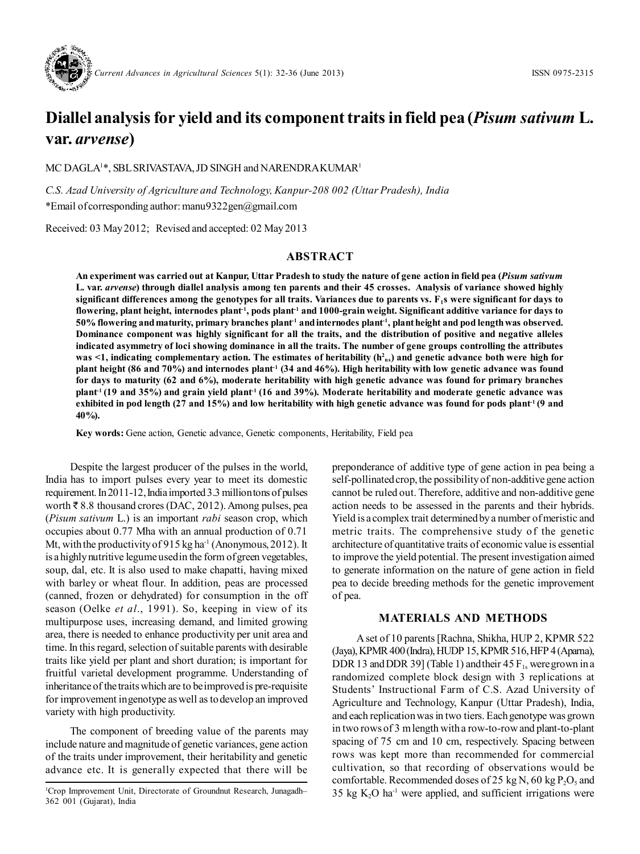

# **Diallel analysis for yield and its component traits in field pea (***Pisum sativum* **L. var.** *arvense***)**

MC DAGLA<sup>1</sup>\*, SBL SRIVASTAVA, JD SINGH and NARENDRA KUMAR<sup>1</sup>

*C.S. Azad University of Agriculture and Technology, Kanpur-208 002 (Uttar Pradesh), India* \*Email of corresponding author: manu9322gen@gmail.com

Received: 03 May 2012; Revised and accepted: 02 May 2013

## **ABSTRACT**

**An experiment was carried out at Kanpur, Uttar Pradesh to study the nature of gene action in field pea (***Pisum sativum* **L. var.** *arvense***) through diallel analysis among ten parents and their 45 crosses. Analysis of variance showed highly significant differences among the genotypes for all traits. Variances due to parents vs. F1s were significant for days to flowering, plant height, internodes plant-1, pods plant-1 and 1000-grain weight. Significant additive variance for days to 50% flowering and maturity, primary branches plant-1 and internodes plant-1, plant height and pod length was observed. Dominance component was highly significant for all the traits, and the distribution of positive and negative alleles indicated asymmetry of loci showing dominance in all the traits. The number of gene groups controlling the attributes was <1, indicating complementary action. The estimates of heritability (h<sup>2</sup> ns) and genetic advance both were high for plant height (86 and 70%) and internodes plant-1 (34 and 46%). High heritability with low genetic advance was found for days to maturity (62 and 6%), moderate heritability with high genetic advance was found for primary branches plant-1 (19 and 35%) and grain yield plant-1 (16 and 39%). Moderate heritability and moderate genetic advance was exhibited in pod length (27 and 15%) and low heritability with high genetic advance was found for pods plant-1 (9 and 40%).**

**Key words:** Gene action, Genetic advance, Genetic components, Heritability, Field pea

Despite the largest producer of the pulses in the world, India has to import pulses every year to meet its domestic requirement. In 2011-12, India imported 3.3 million tons of pulses worth  $\bar{\tau}$  8.8 thousand crores (DAC, 2012). Among pulses, pea (*Pisum sativum* L.) is an important *rabi* season crop, which occupies about 0.77 Mha with an annual production of 0.71 Mt, with the productivity of 915 kg ha<sup>-1</sup> (Anonymous, 2012). It is a highly nutritive legume used in the form of green vegetables, soup, dal, etc. It is also used to make chapatti, having mixed with barley or wheat flour. In addition, peas are processed (canned, frozen or dehydrated) for consumption in the off season (Oelke *et al*., 1991). So, keeping in view of its multipurpose uses, increasing demand, and limited growing area, there is needed to enhance productivity per unit area and time. In this regard, selection of suitable parents with desirable traits like yield per plant and short duration; is important for fruitful varietal development programme. Understanding of inheritance of the traits which are to be improved is pre-requisite for improvement in genotype as well as to develop an improved variety with high productivity.

The component of breeding value of the parents may include nature and magnitude of genetic variances, gene action of the traits under improvement, their heritability and genetic advance etc. It is generally expected that there will be

preponderance of additive type of gene action in pea being a self-pollinated crop, the possibility of non-additive gene action cannot be ruled out. Therefore, additive and non-additive gene action needs to be assessed in the parents and their hybrids. Yield is a complex trait determined by a number of meristic and metric traits. The comprehensive study of the genetic architecture of quantitative traits of economic value is essential to improve the yield potential. The present investigation aimed to generate information on the nature of gene action in field pea to decide breeding methods for the genetic improvement of pea.

### **MATERIALS AND METHODS**

A set of 10 parents [Rachna, Shikha, HUP 2, KPMR 522 (Jaya), KPMR 400 (Indra), HUDP 15, KPMR 516, HFP 4 (Aparna), DDR 13 and DDR 39] (Table 1) and their 45  $F_{1s}$  were grown in a randomized complete block design with 3 replications at Students' Instructional Farm of C.S. Azad University of Agriculture and Technology, Kanpur (Uttar Pradesh), India, and each replication was in two tiers. Each genotype was grown in two rows of 3 m length with a row-to-row and plant-to-plant spacing of 75 cm and 10 cm, respectively. Spacing between rows was kept more than recommended for commercial cultivation, so that recording of observations would be comfortable. Recommended doses of 25 kg N, 60 kg  $P_2O_5$  and <sup>1</sup>Crop Improvement Unit, Directorate of Groundnut Research, Junagadh– $35 \text{ kg K}_2\text{O ha}$ <sup>1</sup> were applied, and sufficient irrigations were

<sup>362 001 (</sup>Gujarat), India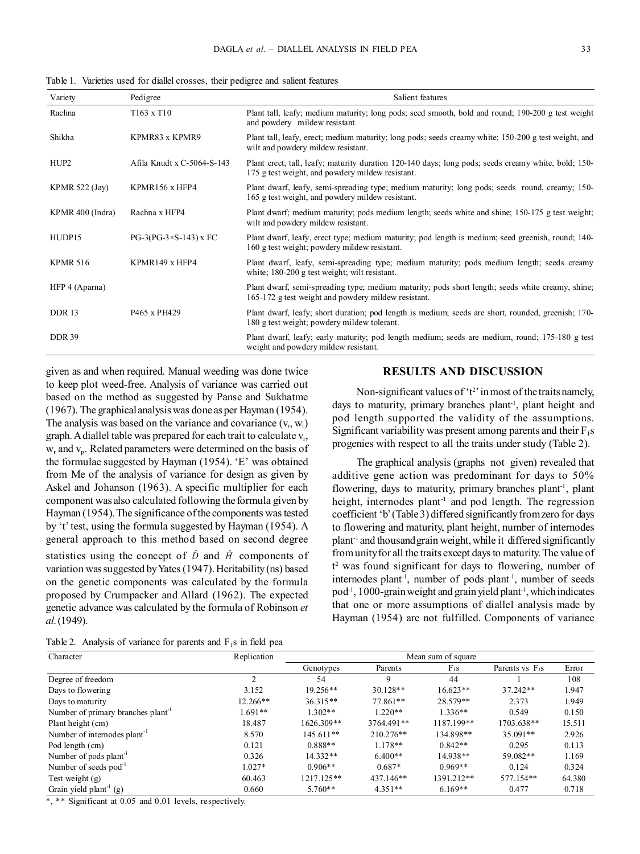Table 1. Varieties used for diallel crosses, their pedigree and salient features

| Variety          | Pedigree                      | Salient features                                                                                                                                        |
|------------------|-------------------------------|---------------------------------------------------------------------------------------------------------------------------------------------------------|
| Rachna           | $T163 \times T10$             | Plant tall, leafy; medium maturity; long pods; seed smooth, bold and round; 190-200 g test weight<br>and powdery mildew resistant.                      |
| Shikha           | KPMR83 x KPMR9                | Plant tall, leafy, erect; medium maturity; long pods; seeds creamy white; 150-200 g test weight, and<br>wilt and powdery mildew resistant.              |
| HUP <sub>2</sub> | Afila Knudt x C-5064-S-143    | Plant erect, tall, leafy; maturity duration 120-140 days; long pods; seeds creamy white, bold; 150-<br>175 g test weight, and powdery mildew resistant. |
| KPMR $522$ (Jay) | KPMR156 x HFP4                | Plant dwarf, leafy, semi-spreading type; medium maturity; long pods; seeds round, creamy; 150-<br>165 g test weight, and powdery mildew resistant.      |
| KPMR 400 (Indra) | Rachna x HFP4                 | Plant dwarf; medium maturity; pods medium length; seeds white and shine; 150-175 g test weight;<br>wilt and powdery mildew resistant.                   |
| HUDP15           | $PG-3(PG-3\times S-143)$ x FC | Plant dwarf, leafy, erect type; medium maturity; pod length is medium; seed greenish, round; 140-<br>160 g test weight; powdery mildew resistant.       |
| <b>KPMR 516</b>  | KPMR149 x HFP4                | Plant dwarf, leafy, semi-spreading type; medium maturity; pods medium length; seeds creamy<br>white; 180-200 g test weight; wilt resistant.             |
| HFP 4 (Aparna)   |                               | Plant dwarf, semi-spreading type; medium maturity; pods short length; seeds white creamy, shine;<br>165-172 g test weight and powdery mildew resistant. |
| DDR 13           | P465 x PH429                  | Plant dwarf, leafy; short duration; pod length is medium; seeds are short, rounded, greenish; 170-<br>180 g test weight; powdery mildew tolerant.       |
| <b>DDR 39</b>    |                               | Plant dwarf, leafy; early maturity; pod length medium; seeds are medium, round; 175-180 g test<br>weight and powdery mildew resistant.                  |

given as and when required. Manual weeding was done twice to keep plot weed-free. Analysis of variance was carried out based on the method as suggested by Panse and Sukhatme (1967). The graphical analysis was done as per Hayman (1954). The analysis was based on the variance and covariance  $(v_r, w_r)$ graph. A diallel table was prepared for each trait to calculate v<sub>r</sub>,  $w_r$  and  $v_p$ . Related parameters were determined on the basis of the formulae suggested by Hayman (1954). 'E' was obtained from Me of the analysis of variance for design as given by Askel and Johanson (1963). A specific multiplier for each component was also calculated following the formula given by Hayman (1954). The significance of the components was tested by 't' test, using the formula suggested by Hayman (1954). A general approach to this method based on second degree statistics using the concept of  $\hat{D}$  and  $\hat{H}$  components of variation was suggested by Yates (1947). Heritability (ns) based on the genetic components was calculated by the formula proposed by Crumpacker and Allard (1962). The expected genetic advance was calculated by the formula of Robinson *et al.* (1949).

### **RESULTS AND DISCUSSION**

Non-significant values of  $'t^2$  in most of the traits namely, days to maturity, primary branches plant<sup>1</sup>, plant height and pod length supported the validity of the assumptions. Significant variability was present among parents and their  $F_1s$ progenies with respect to all the traits under study (Table 2).

The graphical analysis (graphs not given) revealed that additive gene action was predominant for days to 50% flowering, days to maturity, primary branches plant<sup>-1</sup>, plant height, internodes plant<sup>-1</sup> and pod length. The regression coefficient 'b' (Table 3) differed significantly from zero for days to flowering and maturity, plant height, number of internodes plant-1 and thousand grain weight, while it differed significantly from unity for all the traits except days to maturity. The value of t 2 was found significant for days to flowering, number of internodes plant<sup>-1</sup>, number of pods plant<sup>-1</sup>, number of seeds  $pod^{-1}$ , 1000-grain weight and grain yield plant<sup>-1</sup>, which indicates that one or more assumptions of diallel analysis made by Hayman (1954) are not fulfilled. Components of variance

|  | Table 2. Analysis of variance for parents and $F_1$ s in field pea |  |  |  |  |  |  |  |  |  |
|--|--------------------------------------------------------------------|--|--|--|--|--|--|--|--|--|
|--|--------------------------------------------------------------------|--|--|--|--|--|--|--|--|--|

| Character                                      | Replication | Mean sum of square |             |            |                   |        |  |  |  |
|------------------------------------------------|-------------|--------------------|-------------|------------|-------------------|--------|--|--|--|
|                                                |             | Genotypes          | Parents     | $F_1s$     | Parents vs $F_1s$ | Error  |  |  |  |
| Degree of freedom                              | 2           | 54                 | 9           | 44         |                   | 108    |  |  |  |
| Days to flowering                              | 3.152       | $19.256**$         | $30.128**$  | $16.623**$ | 37.242**          | 1.947  |  |  |  |
| Days to maturity                               | $12.266**$  | $36.315**$         | 77.861**    | 28.579**   | 2.373             | 1.949  |  |  |  |
| Number of primary branches plant <sup>-1</sup> | $1.691**$   | $1.302**$          | $1.220**$   | $1.336**$  | 0.549             | 0.150  |  |  |  |
| Plant height (cm)                              | 18.487      | 1626.309**         | 3764.491**  | 1187.199** | 1703.638**        | 15.511 |  |  |  |
| Number of internodes plant <sup>-1</sup>       | 8.570       | 145.611**          | $210.276**$ | 134.898**  | $35.091**$        | 2.926  |  |  |  |
| Pod length (cm)                                | 0.121       | $0.888**$          | $1.178**$   | $0.842**$  | 0.295             | 0.113  |  |  |  |
| Number of pods plant <sup>-1</sup>             | 0.326       | $14.332**$         | $6.400**$   | 14.938**   | 59.082**          | 1.169  |  |  |  |
| Number of seeds $pod^{-1}$                     | $1.027*$    | $0.906**$          | $0.687*$    | $0.969**$  | 0.124             | 0.324  |  |  |  |
| Test weight $(g)$                              | 60.463      | 1217.125**         | 437.146**   | 1391.212** | 577.154**         | 64.380 |  |  |  |
| Grain yield plant <sup>-1</sup> (g)            | 0.660       | $5.760**$          | $4.351**$   | $6.169**$  | 0.477             | 0.718  |  |  |  |

\*, \*\* Significant at 0.05 and 0.01 levels, respectively.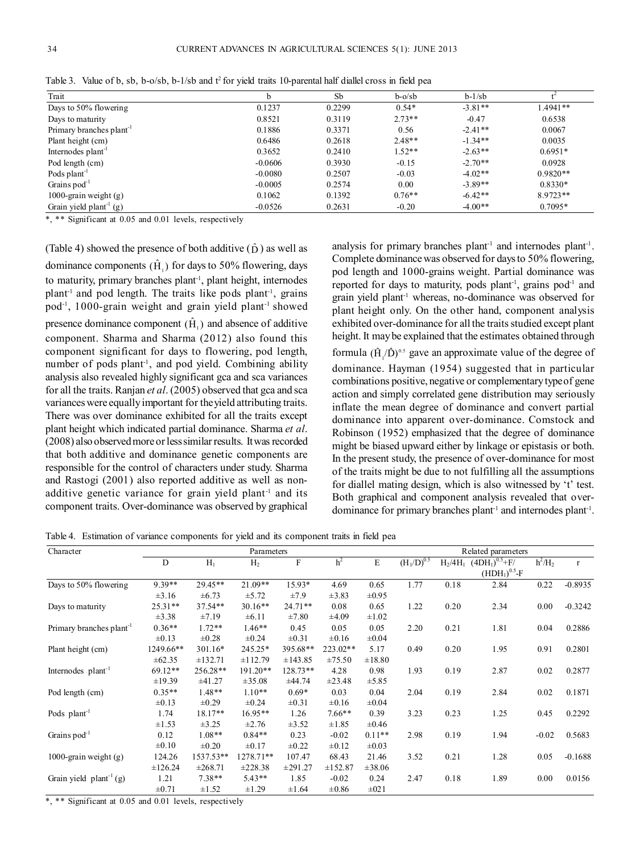| Trait                                |           | Sb     | $b-o/sb$ | $b-1/sb$  |            |
|--------------------------------------|-----------|--------|----------|-----------|------------|
| Days to 50% flowering                | 0.1237    | 0.2299 | $0.54*$  | $-3.81**$ | $.4941**$  |
| Days to maturity                     | 0.8521    | 0.3119 | $2.73**$ | $-0.47$   | 0.6538     |
| Primary branches plant <sup>-1</sup> | 0.1886    | 0.3371 | 0.56     | $-2.41**$ | 0.0067     |
| Plant height (cm)                    | 0.6486    | 0.2618 | $2.48**$ | $-1.34**$ | 0.0035     |
| Internodes plant <sup>-1</sup>       | 0.3652    | 0.2410 | $1.52**$ | $-2.63**$ | $0.6951*$  |
| Pod length (cm)                      | $-0.0606$ | 0.3930 | $-0.15$  | $-2.70**$ | 0.0928     |
| Pods plant <sup>-1</sup>             | $-0.0080$ | 0.2507 | $-0.03$  | $-4.02**$ | $0.9820**$ |
| Grains $pod^{-1}$                    | $-0.0005$ | 0.2574 | 0.00     | $-3.89**$ | $0.8330*$  |
| 1000-grain weight (g)                | 0.1062    | 0.1392 | $0.76**$ | $-6.42**$ | 8.9723**   |
| Grain yield plant <sup>-1</sup> (g)  | $-0.0526$ | 0.2631 | $-0.20$  | $-4.00**$ | $0.7095*$  |

Table 3. Value of b, sb, b-o/sb, b-1/sb and t<sup>2</sup> for yield traits 10-parental half diallel cross in field pea

\*, \*\* Significant at 0.05 and 0.01 levels, respectively

(Table 4) showed the presence of both additive  $(\hat{D})$  as well as dominance components  $(\hat{H}_{1})$  for days to 50% flowering, days to maturity, primary branches plant<sup>-1</sup>, plant height, internodes plant<sup>-1</sup> and pod length. The traits like pods plant<sup>-1</sup>, grains pod<sup>-1</sup>, 1000-grain weight and grain yield plant<sup>-1</sup> showed presence dominance component  $(\hat{H}_1)$  and absence of additive component. Sharma and Sharma (2012) also found this component significant for days to flowering, pod length, number of pods plant<sup>1</sup>, and pod yield. Combining ability analysis also revealed highly significant gca and sca variances for all the traits. Ranjan *et al*. (2005) observed that gca and sca variances were equally important for the yield attributing traits. There was over dominance exhibited for all the traits except plant height which indicated partial dominance. Sharma *et al*. (2008) also observed more or less similar results. It was recorded that both additive and dominance genetic components are responsible for the control of characters under study. Sharma and Rastogi (2001) also reported additive as well as nonadditive genetic variance for grain yield plant<sup>-1</sup> and its component traits. Over-dominance was observed by graphical

analysis for primary branches plant<sup>-1</sup> and internodes plant<sup>-1</sup>. Complete dominance was observed for days to 50% flowering, pod length and 1000-grains weight. Partial dominance was reported for days to maturity, pods plant<sup>-1</sup>, grains pod<sup>-1</sup> and grain yield plant-1 whereas, no-dominance was observed for plant height only. On the other hand, component analysis exhibited over-dominance for all the traits studied except plant height. It may be explained that the estimates obtained through formula  $(\hat{H}_{1}/\hat{D})^{0.5}$  gave an approximate value of the degree of dominance. Hayman (1954) suggested that in particular combinations positive, negative or complementary type of gene action and simply correlated gene distribution may seriously inflate the mean degree of dominance and convert partial dominance into apparent over-dominance. Comstock and Robinson (1952) emphasized that the degree of dominance might be biased upward either by linkage or epistasis or both. In the present study, the presence of over-dominance for most of the traits might be due to not fulfilling all the assumptions for diallel mating design, which is also witnessed by 't' test. Both graphical and component analysis revealed that overdominance for primary branches plant-1 and internodes plant-1 .

Table 4. Estimation of variance components for yield and its component traits in field pea

| Character                            |             |              | Parameters     |            |                |            |                 |      | Related parameters                                |           |           |
|--------------------------------------|-------------|--------------|----------------|------------|----------------|------------|-----------------|------|---------------------------------------------------|-----------|-----------|
|                                      | D           | $H_1$        | H <sub>2</sub> | $\rm F$    | h <sup>2</sup> | E          | $(H_1/D)^{0.5}$ |      | $H_2/4H_1$ (4DH <sub>1</sub> ) <sup>0.5</sup> +F/ | $h^2/H_2$ | $\Gamma$  |
|                                      |             |              |                |            |                |            |                 |      | $(HDH1)0.5-F$                                     |           |           |
| Days to 50% flowering                | 9.39**      | 29.45**      | $21.09**$      | 15.93*     | 4.69           | 0.65       | 1.77            | 0.18 | 2.84                                              | 0.22      | $-0.8935$ |
|                                      | $\pm 3.16$  | $\pm 6.73$   | ±5.72          | ±7.9       | $\pm 3.83$     | $\pm 0.95$ |                 |      |                                                   |           |           |
| Days to maturity                     | $25.31**$   | 37.54**      | $30.16**$      | $24.71**$  | 0.08           | 0.65       | 1.22            | 0.20 | 2.34                                              | 0.00      | $-0.3242$ |
|                                      | ±3.38       | ±7.19        | ±6.11          | $\pm 7.80$ | $\pm 4.09$     | $\pm 1.02$ |                 |      |                                                   |           |           |
| Primary branches plant <sup>-1</sup> | $0.36**$    | $1.72**$     | $1.46**$       | 0.45       | 0.05           | 0.05       | 2.20            | 0.21 | 1.81                                              | 0.04      | 0.2886    |
|                                      | $\pm 0.13$  | $\pm 0.28$   | $\pm 0.24$     | $\pm 0.31$ | $\pm 0.16$     | $\pm 0.04$ |                 |      |                                                   |           |           |
| Plant height (cm)                    | 1249.66**   | 301.16*      | 245.25*        | 395.68**   | 223.02**       | 5.17       | 0.49            | 0.20 | 1.95                                              | 0.91      | 0.2801    |
|                                      | $\pm 62.35$ | ±132.71      | ±112.79        | ±143.85    | ±75.50         | ±18.80     |                 |      |                                                   |           |           |
| Internodes plant <sup>-1</sup>       | 69.12**     | 256.28**     | 191.20**       | 128.73**   | 4.28           | 0.98       | 1.93            | 0.19 | 2.87                                              | 0.02      | 0.2877    |
|                                      | ±19.39      | ±41.27       | ±35.08         | ±44.74     | $\pm 23.48$    | ±5.85      |                 |      |                                                   |           |           |
| Pod length (cm)                      | $0.35**$    | $1.48**$     | $1.10**$       | $0.69*$    | 0.03           | 0.04       | 2.04            | 0.19 | 2.84                                              | 0.02      | 0.1871    |
|                                      | $\pm 0.13$  | $\pm 0.29$   | $\pm 0.24$     | $\pm 0.31$ | $\pm 0.16$     | $\pm 0.04$ |                 |      |                                                   |           |           |
| Pods $plant^{-1}$                    | 1.74        | 18.17**      | 16.95**        | 1.26       | $7.66**$       | 0.39       | 3.23            | 0.23 | 1.25                                              | 0.45      | 0.2292    |
|                                      | ±1.53       | ±3.25        | ±2.76          | ±3.52      | $\pm 1.85$     | $\pm 0.46$ |                 |      |                                                   |           |           |
| Grains $pod^{-1}$                    | 0.12        | $1.08**$     | $0.84**$       | 0.23       | $-0.02$        | $0.11**$   | 2.98            | 0.19 | 1.94                                              | $-0.02$   | 0.5683    |
|                                      | $\pm 0.10$  | $\pm 0.20$   | $\pm 0.17$     | $\pm 0.22$ | $\pm 0.12$     | $\pm 0.03$ |                 |      |                                                   |           |           |
| 1000-grain weight $(g)$              | 124.26      | 1537.53**    | 1278.71**      | 107.47     | 68.43          | 21.46      | 3.52            | 0.21 | 1.28                                              | 0.05      | $-0.1688$ |
|                                      | ±126.24     | $\pm 268.71$ | ±228.38        | ±291.27    | ±152.87        | ±38.06     |                 |      |                                                   |           |           |
| Grain yield $plant^{-1}(g)$          | 1.21        | $7.38**$     | $5.43**$       | 1.85       | $-0.02$        | 0.24       | 2.47            | 0.18 | 1.89                                              | 0.00      | 0.0156    |
|                                      | $\pm 0.71$  | $\pm 1.52$   | ±1.29          | $\pm 1.64$ | $\pm 0.86$     | $\pm 021$  |                 |      |                                                   |           |           |

\*\* Significant at 0.05 and 0.01 levels, respectively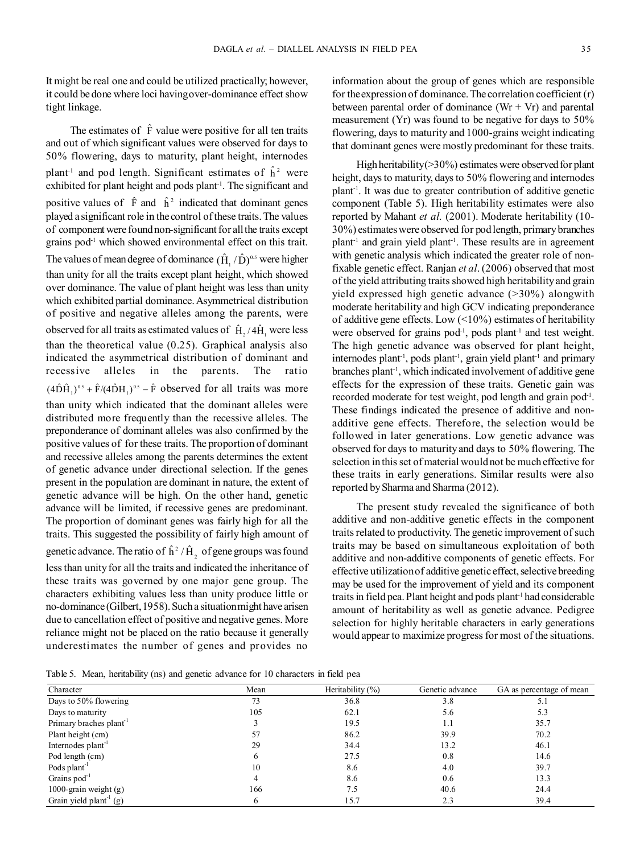It might be real one and could be utilized practically; however, it could be done where loci having over-dominance effect show tight linkage.

The estimates of  $\hat{F}$  value were positive for all ten traits and out of which significant values were observed for days to 50% flowering, days to maturity, plant height, internodes plant<sup>1</sup> and pod length. Significant estimates of  $\hat{h}^2$  were exhibited for plant height and pods plant-1. The significant and positive values of  $\hat{F}$  and  $\hat{h}^2$  indicated that dominant genes played a significant role in the control of these traits. The values of component were found non-significant for all the traits except grains pod<sup>-1</sup> which showed environmental effect on this trait. The values of mean degree of dominance  $(\hat{H}_{1}/\hat{D})^{\alpha}$  were higher than unity for all the traits except plant height, which showed over dominance. The value of plant height was less than unity which exhibited partial dominance. Asymmetrical distribution of positive and negative alleles among the parents, were observed for all traits as estimated values of  $\hat{H}_{2}/4\hat{H}_{1}$  were less than the theoretical value (0.25). Graphical analysis also indicated the asymmetrical distribution of dominant and recessive alleles in the parents. The ratio  $(4\hat{\mathrm{D}}\hat{\mathrm{H}}_1)^{0.5} + \hat{\mathrm{F}}/(4\hat{\mathrm{D}}\mathrm{H}_1)^{0.5} - \hat{\mathrm{F}}$  observed for all traits was more than unity which indicated that the dominant alleles were distributed more frequently than the recessive alleles. The preponderance of dominant alleles was also confirmed by the positive values of for these traits. The proportion of dominant and recessive alleles among the parents determines the extent of genetic advance under directional selection. If the genes present in the population are dominant in nature, the extent of genetic advance will be high. On the other hand, genetic advance will be limited, if recessive genes are predominant. The proportion of dominant genes was fairly high for all the traits. This suggested the possibility of fairly high amount of genetic advance. The ratio of  $\hat{h}^2/\hat{H}_2$  of gene groups was found less than unity for all the traits and indicated the inheritance of these traits was governed by one major gene group. The characters exhibiting values less than unity produce little or no-dominance (Gilbert, 1958). Such a situation might have arisen due to cancellation effect of positive and negative genes. More reliance might not be placed on the ratio because it generally underestimates the number of genes and provides no information about the group of genes which are responsible for the expression of dominance. The correlation coefficient (r) between parental order of dominance  $(Wr + Vr)$  and parental measurement (Yr) was found to be negative for days to 50% flowering, days to maturity and 1000-grains weight indicating that dominant genes were mostly predominant for these traits.

High heritability  $(>= 30\%)$  estimates were observed for plant height, days to maturity, days to 50% flowering and internodes plant-1. It was due to greater contribution of additive genetic component (Table 5). High heritability estimates were also reported by Mahant *et al.* (2001). Moderate heritability (10- 30%) estimates were observed for pod length, primary branches plant-1 and grain yield plant-1. These results are in agreement with genetic analysis which indicated the greater role of nonfixable genetic effect. Ranjan *et al*. (2006) observed that most of the yield attributing traits showed high heritability and grain yield expressed high genetic advance (>30%) alongwith moderate heritability and high GCV indicating preponderance of additive gene effects. Low  $(<10\%)$  estimates of heritability were observed for grains  $pod^{-1}$ , pods plant<sup>-1</sup> and test weight. The high genetic advance was observed for plant height, internodes plant<sup>-1</sup>, pods plant<sup>-1</sup>, grain yield plant<sup>-1</sup> and primary branches plant<sup>-1</sup>, which indicated involvement of additive gene effects for the expression of these traits. Genetic gain was recorded moderate for test weight, pod length and grain pod<sup>1</sup>. These findings indicated the presence of additive and nonadditive gene effects. Therefore, the selection would be followed in later generations. Low genetic advance was observed for days to maturity and days to 50% flowering. The selection in this set of material would not be much effective for these traits in early generations. Similar results were also reported by Sharma and Sharma (2012).

The present study revealed the significance of both additive and non-additive genetic effects in the component traits related to productivity. The genetic improvement of such traits may be based on simultaneous exploitation of both additive and non-additive components of genetic effects. For effective utilization of additive genetic effect, selective breeding may be used for the improvement of yield and its component traits in field pea. Plant height and pods plant-1 had considerable amount of heritability as well as genetic advance. Pedigree selection for highly heritable characters in early generations would appear to maximize progress for most of the situations.

Table 5. Mean, heritability (ns) and genetic advance for 10 characters in field pea

| Character                          | Mean | Heritability $(\%)$ | Genetic advance | GA as percentage of mean |
|------------------------------------|------|---------------------|-----------------|--------------------------|
| Days to 50% flowering              | 73   | 36.8                | 3.8             |                          |
| Days to maturity                   | 105  | 62.1                | 5.6             | 5.3                      |
| Primary braches plant <sup>1</sup> |      | 19.5                | 1.1             | 35.7                     |
| Plant height (cm)                  | 57   | 86.2                | 39.9            | 70.2                     |
| Internodes plant <sup>-1</sup>     | 29   | 34.4                | 13.2            | 46.1                     |
| Pod length (cm)                    | O    | 27.5                | 0.8             | 14.6                     |
| Pods plant <sup>-1</sup>           | 10   | 8.6                 | 4.0             | 39.7                     |
| Grains $pod^{-1}$                  | 4    | 8.6                 | 0.6             | 13.3                     |
| 1000-grain weight $(g)$            | 166  | 7.5                 | 40.6            | 24.4                     |
| Grain yield $plant^{-1}(g)$        | 6    | 15.7                | 2.3             | 39.4                     |